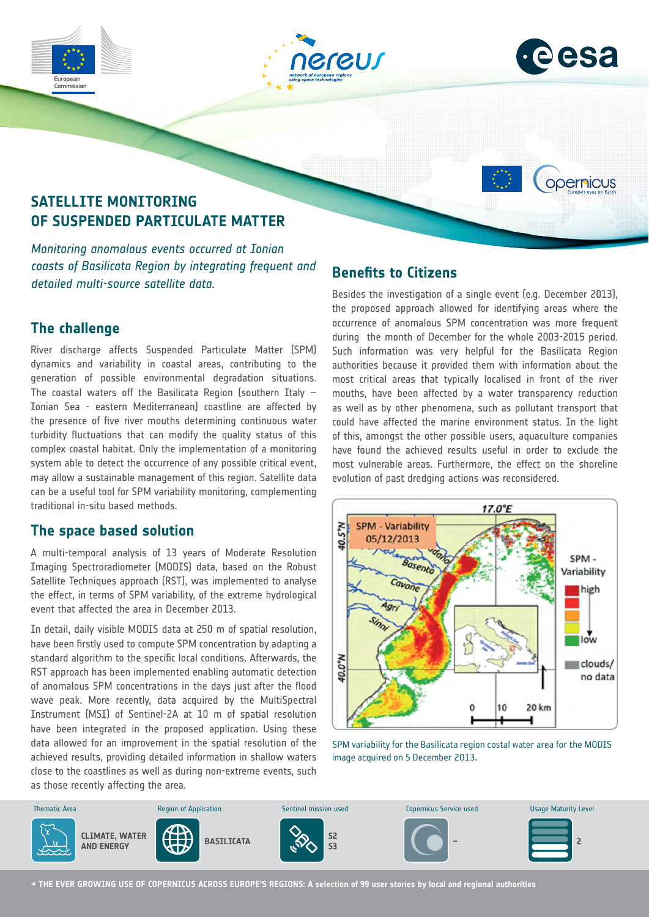







# **SATELLITE MONITORING OF SUSPENDED PARTICULATE MATTER**

*Monitoring anomalous events occurred at Ionian coasts of Basilicata Region by integrating frequent and detailed multi-source satellite data.*

## **The challenge**

River discharge affects Suspended Particulate Matter (SPM) dynamics and variability in coastal areas, contributing to the generation of possible environmental degradation situations. The coastal waters off the Basilicata Region (southern Italy  $-$ Ionian Sea - eastern Mediterranean) coastline are affected by the presence of five river mouths determining continuous water turbidity fluctuations that can modify the quality status of this complex coastal habitat. Only the implementation of a monitoring system able to detect the occurrence of any possible critical event, may allow a sustainable management of this region. Satellite data can be a useful tool for SPM variability monitoring, complementing traditional in-situ based methods.

### **The space based solution**

A multi-temporal analysis of 13 years of Moderate Resolution Imaging Spectroradiometer (MODIS) data, based on the Robust Satellite Techniques approach (RST), was implemented to analyse the effect, in terms of SPM variability, of the extreme hydrological event that affected the area in December 2013.

In detail, daily visible MODIS data at 250 m of spatial resolution, have been firstly used to compute SPM concentration by adapting a standard algorithm to the specific local conditions. Afterwards, the RST approach has been implemented enabling automatic detection of anomalous SPM concentrations in the days just after the flood wave peak. More recently, data acquired by the MultiSpectral Instrument (MSI) of Sentinel-2A at 10 m of spatial resolution have been integrated in the proposed application. Using these data allowed for an improvement in the spatial resolution of the achieved results, providing detailed information in shallow waters close to the coastlines as well as during non-extreme events, such as those recently affecting the area.

## **Benefits to Citizens**

Besides the investigation of a single event (e.g. December 2013), the proposed approach allowed for identifying areas where the occurrence of anomalous SPM concentration was more frequent during the month of December for the whole 2003-2015 period. Such information was very helpful for the Basilicata Region authorities because it provided them with information about the most critical areas that typically localised in front of the river mouths, have been affected by a water transparency reduction as well as by other phenomena, such as pollutant transport that could have affected the marine environment status. In the light of this, amongst the other possible users, aquaculture companies have found the achieved results useful in order to exclude the most vulnerable areas. Furthermore, the effect on the shoreline evolution of past dredging actions was reconsidered.



SPM variability for the Basilicata region costal water area for the MODIS image acquired on 5 December 2013.



**→ THE EVER GROWING USE OF COPERNICUS ACROSS EUROPE'S REGIONS: A selection of 99 user stories by local and regional authorities**